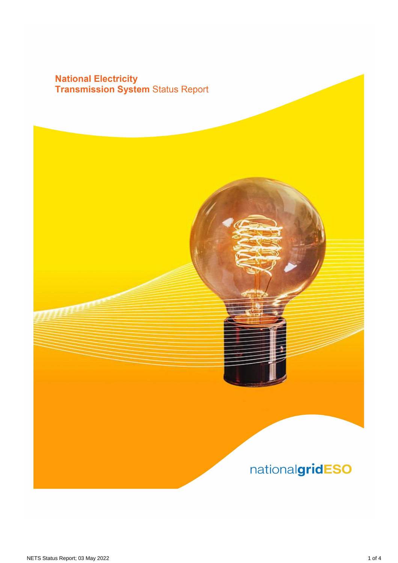## **National Electricity<br>Transmission System Status Report**

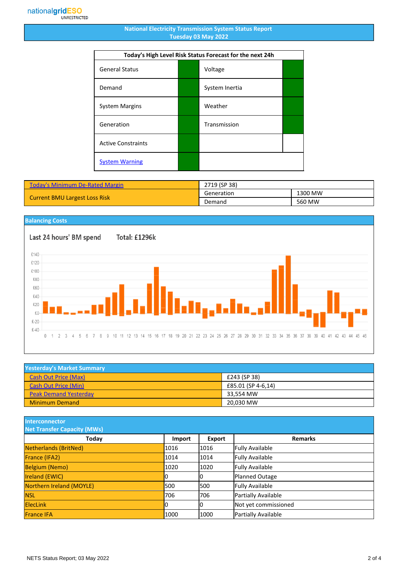## **National Electricity Transmission System Status Report Tuesday 03 May 2022**

| Today's High Level Risk Status Forecast for the next 24h |  |                |  |
|----------------------------------------------------------|--|----------------|--|
| <b>General Status</b>                                    |  | Voltage        |  |
| Demand                                                   |  | System Inertia |  |
| <b>System Margins</b>                                    |  | Weather        |  |
| Generation                                               |  | Transmission   |  |
| <b>Active Constraints</b>                                |  |                |  |
| <b>System Warning</b>                                    |  |                |  |

| <b>Today's Minimum De-Rated Margin</b> | 2719 (SP 38) |         |
|----------------------------------------|--------------|---------|
| <b>Current BMU Largest Loss Risk</b>   | Generation   | 1300 MW |
|                                        | Demand       | 560 MW  |

## **Balancing Costs**

Last 24 hours' BM spend Total: £1296k £140 £120 £100 £80 £60 £40 £20 £0  $£-20$  $£-40$  $0 \t1 \t2 \t3 \t4$ 5 6 7 8 9 10 11 12 13 14 15 16 17 18 19 20 21 22 23 24 25 26 27 28 29 30 31 32 33 34 35 36 37 38 39 40 41 42 43 44 45 46

| <b>Yesterday's Market Summary</b> |                    |  |
|-----------------------------------|--------------------|--|
| <b>Cash Out Price (Max)</b>       | £243 (SP 38)       |  |
| <b>Cash Out Price (Min)</b>       | £85.01 (SP 4-6,14) |  |
| <b>Peak Demand Yesterday</b>      | 33.554 MW          |  |
| <b>Minimum Demand</b>             | 20,030 MW          |  |

**Interconnector**

| <b>Net Transfer Capacity (MWs)</b> |        |        |                        |
|------------------------------------|--------|--------|------------------------|
| Today                              | Import | Export | <b>Remarks</b>         |
| Netherlands (BritNed)              | 1016   | 1016   | <b>Fully Available</b> |
| France (IFA2)                      | 1014   | 1014   | <b>Fully Available</b> |
| <b>Belgium (Nemo)</b>              | 1020   | 1020   | <b>Fully Available</b> |
| <b>Ireland (EWIC)</b>              |        | 10     | Planned Outage         |
| Northern Ireland (MOYLE)           | 500    | 1500   | <b>Fully Available</b> |
| <b>NSL</b>                         | 706    | 706    | Partially Available    |
| <b>ElecLink</b>                    | 10     | IО     | Not yet commissioned   |
| <b>France IFA</b>                  | 1000   | 1000   | Partially Available    |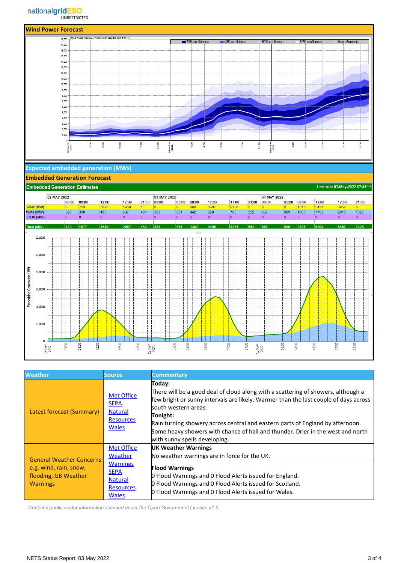

| <b>Weather</b>                                                                                       | Source,                                                                                | <b>Commentary</b>                                                                                                                                                                                                                                                                                                                                                                                                              |
|------------------------------------------------------------------------------------------------------|----------------------------------------------------------------------------------------|--------------------------------------------------------------------------------------------------------------------------------------------------------------------------------------------------------------------------------------------------------------------------------------------------------------------------------------------------------------------------------------------------------------------------------|
| Latest forecast (Summary)                                                                            | <b>Met Office</b><br><b>SEPA</b><br><b>Natural</b><br><b>Resources</b><br><b>Wales</b> | Today:<br>There will be a good deal of cloud along with a scattering of showers, although a<br>few bright or sunny intervals are likely. Warmer than the last couple of days across<br>lsouth western areas.<br>Tonight:<br>Rain turning showery across central and eastern parts of England by afternoon.<br>Some heavy showers with chance of hail and thunder. Drier in the west and north<br>with sunny spells developing. |
| <b>General Weather Concerns</b><br>e.g. wind, rain, snow,<br>flooding, GB Weather<br><b>Warnings</b> | <b>Met Office</b><br>Weather<br><b>Warnings</b>                                        | UK Weather Warnings<br>No weather warnings are in force for the UK.                                                                                                                                                                                                                                                                                                                                                            |
|                                                                                                      | <b>SEPA</b><br><b>Natural</b><br><b>Resources</b><br><b>Wales</b>                      | <b>Flood Warnings</b><br><b>O</b> Flood Warnings and O Flood Alerts issued for England.<br><b>O</b> Flood Warnings and O Flood Alerts issued for Scotland.<br>0 Flood Warnings and 0 Flood Alerts issued for Wales.                                                                                                                                                                                                            |

 *Contains public sector information licensed under the Open Government Licence v1.0*